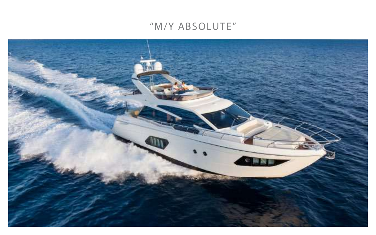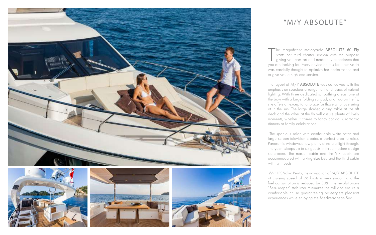The magnificent motoryacht **ABSOLUTE 60 Fly**<br>starts her third charter season with the purpose<br>giving you comfort and modernity experience that<br>you are looking for. Every device on this luxurious yacht the magnificent motoryacht ABSOLUTE 60 Fly starts her third charter season with the purpose giving you comfort and modernity experience that was carefully thought to optimize her performance and to give you a high-end service.

The layout of M/Y ABSOLUTE was conceived with the emphasis on spacious arrangement and loads of natural lighting. With three dedicated sunbathing areas: one at the bow with a large folding sunpad, and two on the fly, she offers an exceptional place for those who love seing at in the sun. The large shaded dining table at the aft deck and the other at the fly will assure plenty of lively moments, whether it comes to fancy cocktails, romantic dinners or family celebrations.









#### Y ARSOLI "M/Y ABSOLUTE"

 The spacious salon with comfortable white sofas and large-screen television creates a perfect area to relax. Panoramic windows allow plenty of natural light through. The yacht sleeps up to six guests in three modern design staterooms. The master cabin and the VIP cabin are accommodated with a king-size bed and the third cabin with twin beds.

 With IPS Volvo Penta, the navigation of M/Y ABSOLUTE at cruising speed of 26 knots is very smooth and the fuel consumption is reduced by 30%. The revolutionary "Sea-keeper" stabilizer minimizes the roll and ensure a comfortable cruise guaranteeing passengers pleasant experiences while enjoying the Mediterranean Sea.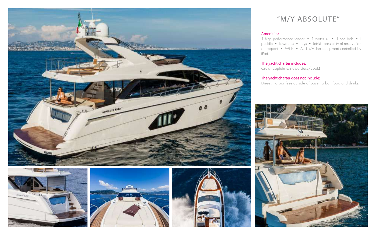







#### Amenities:

1 high performance tender • 1 water ski • 1 sea bob •1 paddle • Towables • Toys • Jetski : possibility of reservation on request • Wi-Fi • Audio/video equipment controlled by iPad.

#### The yacht charter includes:

Crew (captain & stewardess/cook)

### The yacht charter does not include:

Diesel, harbor fees outside of base harbor, food and drinks.

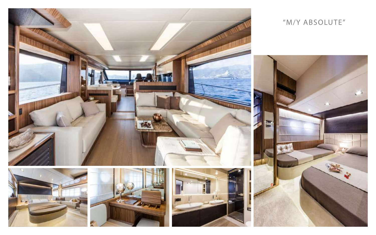